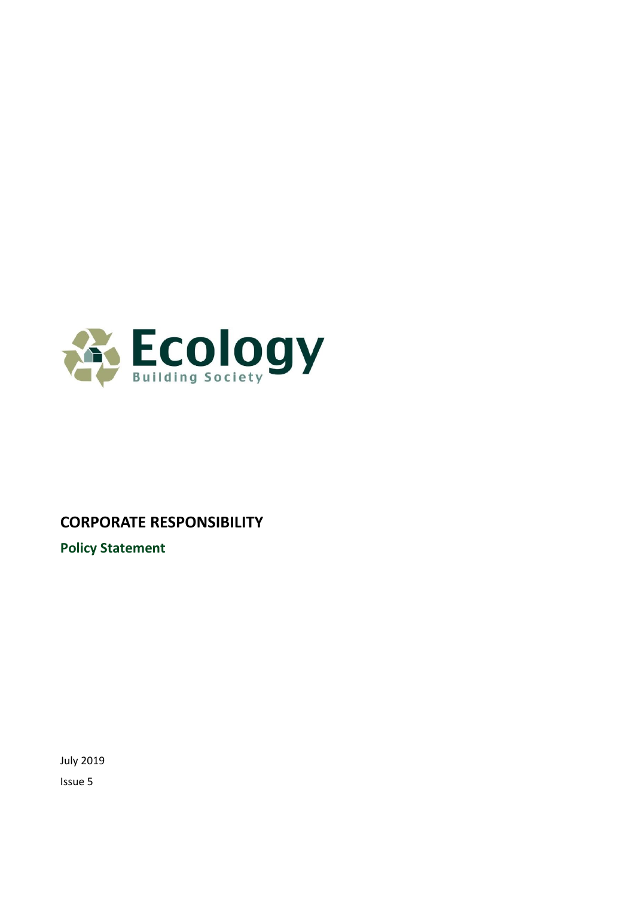

# **CORPORATE RESPONSIBILITY**

**Policy Statement**

July 2019 Issue 5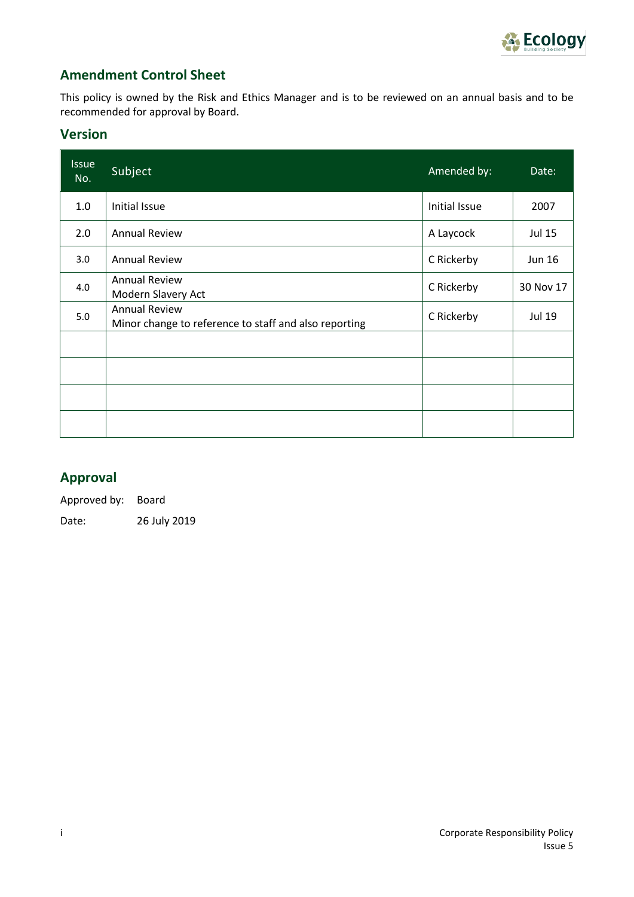

## **Amendment Control Sheet**

This policy is owned by the Risk and Ethics Manager and is to be reviewed on an annual basis and to be recommended for approval by Board.

#### **Version**

| <b>Issue</b><br>No. | <b>Subject</b>                                                                | Amended by:   | Date:         |
|---------------------|-------------------------------------------------------------------------------|---------------|---------------|
| 1.0                 | Initial Issue                                                                 | Initial Issue | 2007          |
| 2.0                 | <b>Annual Review</b>                                                          | A Laycock     | Jul 15        |
| 3.0                 | <b>Annual Review</b>                                                          | C Rickerby    | <b>Jun 16</b> |
| 4.0                 | <b>Annual Review</b><br>Modern Slavery Act                                    | C Rickerby    | 30 Nov 17     |
| 5.0                 | <b>Annual Review</b><br>Minor change to reference to staff and also reporting | C Rickerby    | Jul 19        |
|                     |                                                                               |               |               |
|                     |                                                                               |               |               |
|                     |                                                                               |               |               |
|                     |                                                                               |               |               |

## **Approval**

Approved by: Board Date: 26 July 2019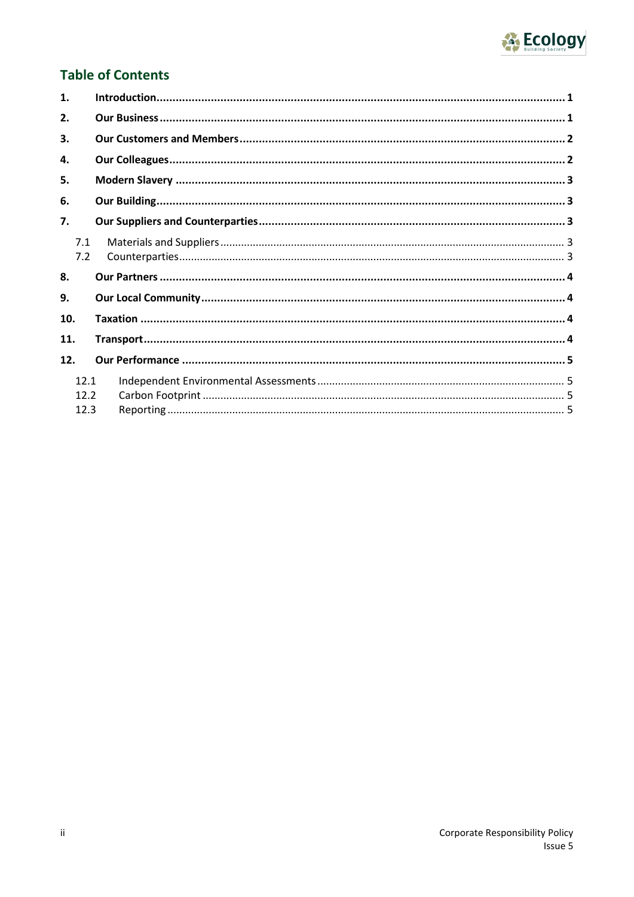

## **Table of Contents**

| 1.                   |  |
|----------------------|--|
| 2.                   |  |
| 3.                   |  |
| 4.                   |  |
| 5.                   |  |
| 6.                   |  |
| 7.                   |  |
| 7.1<br>7.2           |  |
| 8.                   |  |
| 9.                   |  |
| 10.                  |  |
| 11.                  |  |
| 12.                  |  |
| 12.1<br>12.2<br>12.3 |  |
|                      |  |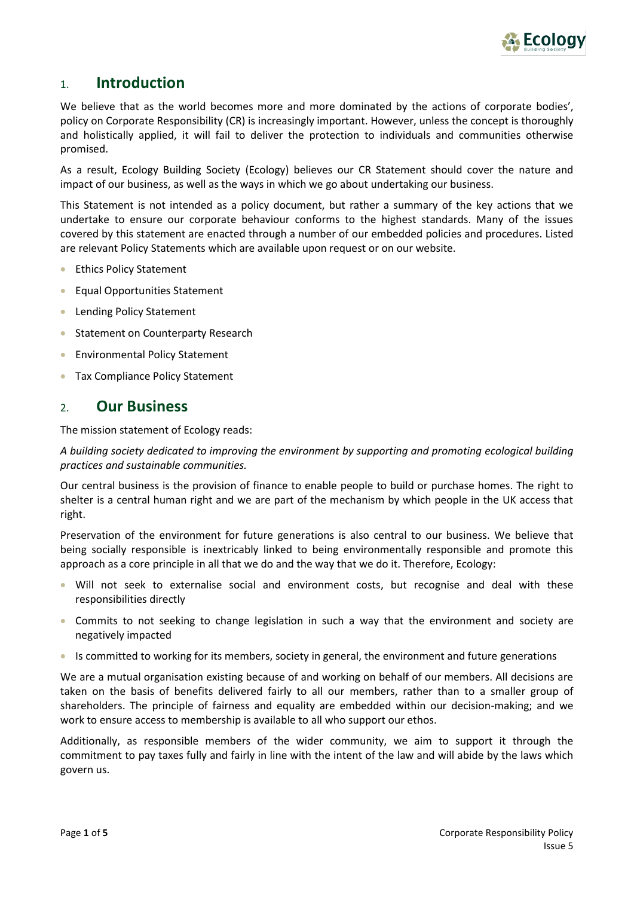

### <span id="page-3-0"></span>1. **Introduction**

We believe that as the world becomes more and more dominated by the actions of corporate bodies', policy on Corporate Responsibility (CR) is increasingly important. However, unless the concept is thoroughly and holistically applied, it will fail to deliver the protection to individuals and communities otherwise promised.

As a result, Ecology Building Society (Ecology) believes our CR Statement should cover the nature and impact of our business, as well as the ways in which we go about undertaking our business.

This Statement is not intended as a policy document, but rather a summary of the key actions that we undertake to ensure our corporate behaviour conforms to the highest standards. Many of the issues covered by this statement are enacted through a number of our embedded policies and procedures. Listed are relevant Policy Statements which are available upon request or on our website.

- Ethics Policy Statement
- Equal Opportunities Statement
- Lending Policy Statement
- Statement on Counterparty Research
- Environmental Policy Statement
- Tax Compliance Policy Statement

#### <span id="page-3-1"></span>2. **Our Business**

The mission statement of Ecology reads:

*A building society dedicated to improving the environment by supporting and promoting ecological building practices and sustainable communities.*

Our central business is the provision of finance to enable people to build or purchase homes. The right to shelter is a central human right and we are part of the mechanism by which people in the UK access that right.

Preservation of the environment for future generations is also central to our business. We believe that being socially responsible is inextricably linked to being environmentally responsible and promote this approach as a core principle in all that we do and the way that we do it. Therefore, Ecology:

- Will not seek to externalise social and environment costs, but recognise and deal with these responsibilities directly
- Commits to not seeking to change legislation in such a way that the environment and society are negatively impacted
- Is committed to working for its members, society in general, the environment and future generations

We are a mutual organisation existing because of and working on behalf of our members. All decisions are taken on the basis of benefits delivered fairly to all our members, rather than to a smaller group of shareholders. The principle of fairness and equality are embedded within our decision-making; and we work to ensure access to membership is available to all who support our ethos.

Additionally, as responsible members of the wider community, we aim to support it through the commitment to pay taxes fully and fairly in line with the intent of the law and will abide by the laws which govern us.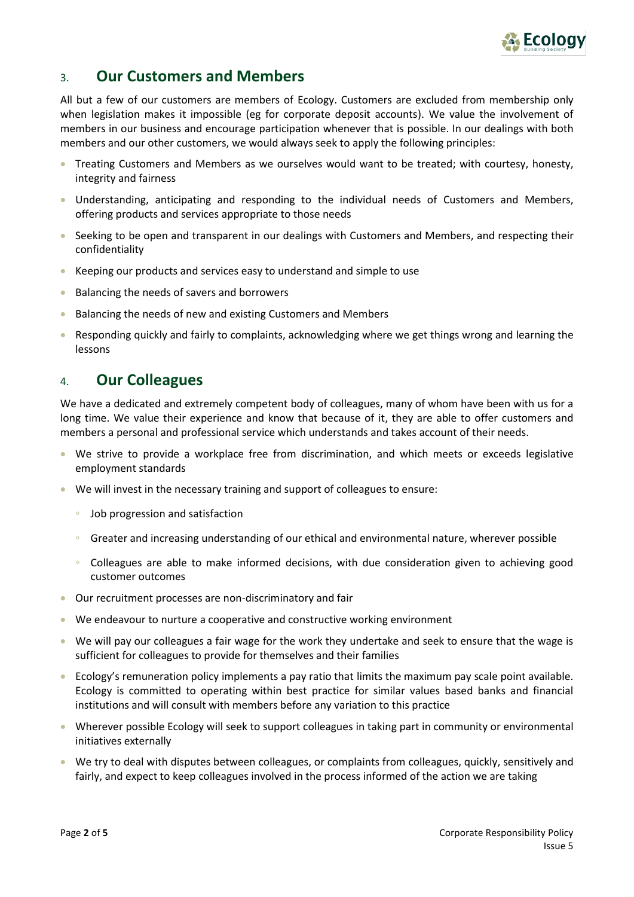

## <span id="page-4-0"></span>3. **Our Customers and Members**

All but a few of our customers are members of Ecology. Customers are excluded from membership only when legislation makes it impossible (eg for corporate deposit accounts). We value the involvement of members in our business and encourage participation whenever that is possible. In our dealings with both members and our other customers, we would always seek to apply the following principles:

- Treating Customers and Members as we ourselves would want to be treated; with courtesy, honesty, integrity and fairness
- Understanding, anticipating and responding to the individual needs of Customers and Members, offering products and services appropriate to those needs
- Seeking to be open and transparent in our dealings with Customers and Members, and respecting their confidentiality
- Keeping our products and services easy to understand and simple to use
- Balancing the needs of savers and borrowers
- Balancing the needs of new and existing Customers and Members
- Responding quickly and fairly to complaints, acknowledging where we get things wrong and learning the lessons

## <span id="page-4-1"></span>4. **Our Colleagues**

We have a dedicated and extremely competent body of colleagues, many of whom have been with us for a long time. We value their experience and know that because of it, they are able to offer customers and members a personal and professional service which understands and takes account of their needs.

- We strive to provide a workplace free from discrimination, and which meets or exceeds legislative employment standards
- We will invest in the necessary training and support of colleagues to ensure:
	- ∘ Job progression and satisfaction
	- ∘ Greater and increasing understanding of our ethical and environmental nature, wherever possible
	- ∘ Colleagues are able to make informed decisions, with due consideration given to achieving good customer outcomes
- Our recruitment processes are non-discriminatory and fair
- We endeavour to nurture a cooperative and constructive working environment
- We will pay our colleagues a fair wage for the work they undertake and seek to ensure that the wage is sufficient for colleagues to provide for themselves and their families
- Ecology's remuneration policy implements a pay ratio that limits the maximum pay scale point available. Ecology is committed to operating within best practice for similar values based banks and financial institutions and will consult with members before any variation to this practice
- Wherever possible Ecology will seek to support colleagues in taking part in community or environmental initiatives externally
- We try to deal with disputes between colleagues, or complaints from colleagues, quickly, sensitively and fairly, and expect to keep colleagues involved in the process informed of the action we are taking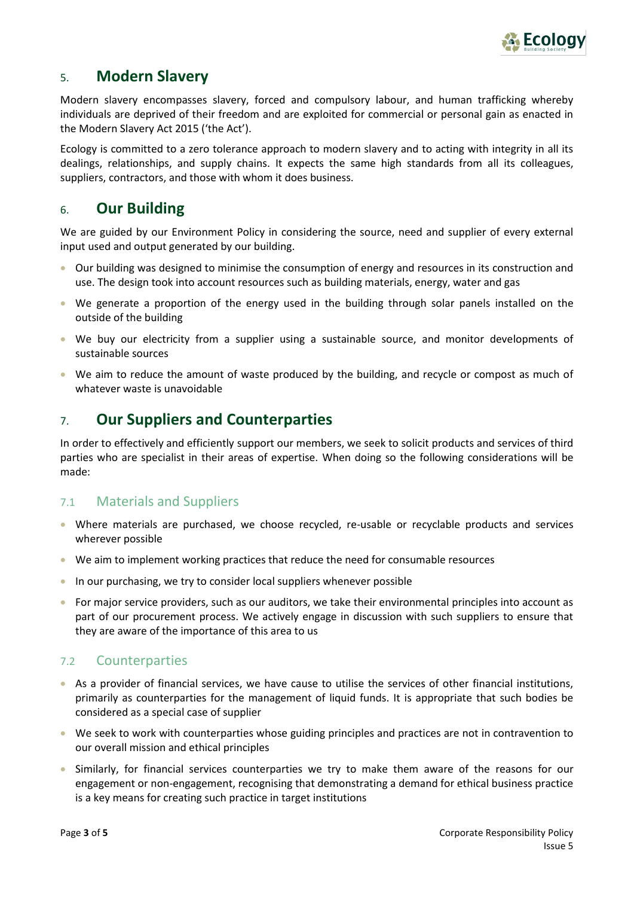

## <span id="page-5-0"></span>5. **Modern Slavery**

Modern slavery encompasses slavery, forced and compulsory labour, and human trafficking whereby individuals are deprived of their freedom and are exploited for commercial or personal gain as enacted in the Modern Slavery Act 2015 ('the Act').

Ecology is committed to a zero tolerance approach to modern slavery and to acting with integrity in all its dealings, relationships, and supply chains. It expects the same high standards from all its colleagues, suppliers, contractors, and those with whom it does business.

## <span id="page-5-1"></span>6. **Our Building**

We are guided by our Environment Policy in considering the source, need and supplier of every external input used and output generated by our building.

- Our building was designed to minimise the consumption of energy and resources in its construction and use. The design took into account resources such as building materials, energy, water and gas
- We generate a proportion of the energy used in the building through solar panels installed on the outside of the building
- We buy our electricity from a supplier using a sustainable source, and monitor developments of sustainable sources
- We aim to reduce the amount of waste produced by the building, and recycle or compost as much of whatever waste is unavoidable

## <span id="page-5-2"></span>7. **Our Suppliers and Counterparties**

In order to effectively and efficiently support our members, we seek to solicit products and services of third parties who are specialist in their areas of expertise. When doing so the following considerations will be made:

#### <span id="page-5-3"></span>7.1 Materials and Suppliers

- Where materials are purchased, we choose recycled, re-usable or recyclable products and services wherever possible
- We aim to implement working practices that reduce the need for consumable resources
- In our purchasing, we try to consider local suppliers whenever possible
- For major service providers, such as our auditors, we take their environmental principles into account as part of our procurement process. We actively engage in discussion with such suppliers to ensure that they are aware of the importance of this area to us

### <span id="page-5-4"></span>7.2 Counterparties

- As a provider of financial services, we have cause to utilise the services of other financial institutions, primarily as counterparties for the management of liquid funds. It is appropriate that such bodies be considered as a special case of supplier
- We seek to work with counterparties whose guiding principles and practices are not in contravention to our overall mission and ethical principles
- Similarly, for financial services counterparties we try to make them aware of the reasons for our engagement or non-engagement, recognising that demonstrating a demand for ethical business practice is a key means for creating such practice in target institutions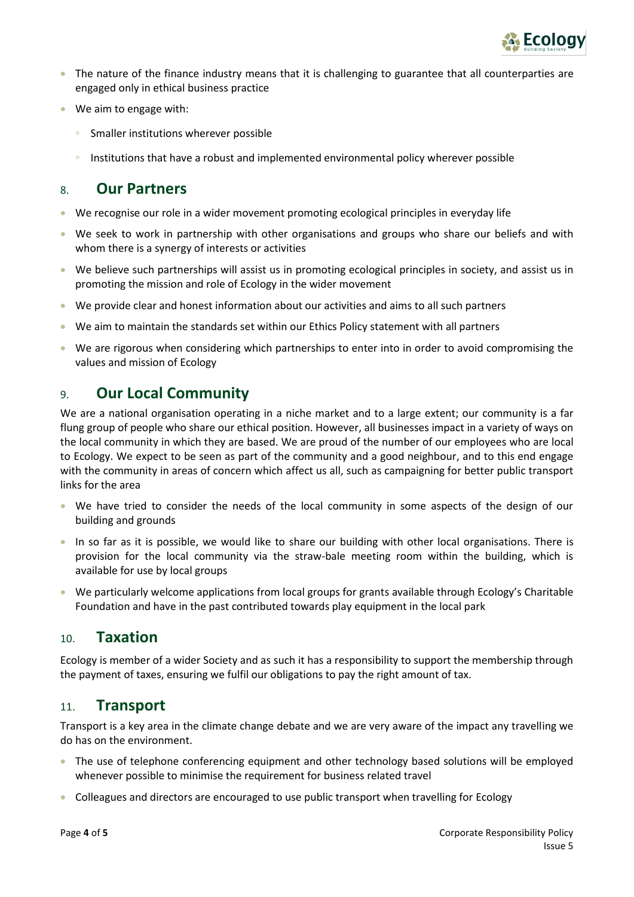

- The nature of the finance industry means that it is challenging to guarantee that all counterparties are engaged only in ethical business practice
- We aim to engage with:
	- ∘ Smaller institutions wherever possible
	- ∘ Institutions that have a robust and implemented environmental policy wherever possible

### <span id="page-6-0"></span>8. **Our Partners**

- We recognise our role in a wider movement promoting ecological principles in everyday life
- We seek to work in partnership with other organisations and groups who share our beliefs and with whom there is a synergy of interests or activities
- We believe such partnerships will assist us in promoting ecological principles in society, and assist us in promoting the mission and role of Ecology in the wider movement
- We provide clear and honest information about our activities and aims to all such partners
- We aim to maintain the standards set within our Ethics Policy statement with all partners
- We are rigorous when considering which partnerships to enter into in order to avoid compromising the values and mission of Ecology

## <span id="page-6-1"></span>9. **Our Local Community**

We are a national organisation operating in a niche market and to a large extent; our community is a far flung group of people who share our ethical position. However, all businesses impact in a variety of ways on the local community in which they are based. We are proud of the number of our employees who are local to Ecology. We expect to be seen as part of the community and a good neighbour, and to this end engage with the community in areas of concern which affect us all, such as campaigning for better public transport links for the area

- We have tried to consider the needs of the local community in some aspects of the design of our building and grounds
- In so far as it is possible, we would like to share our building with other local organisations. There is provision for the local community via the straw-bale meeting room within the building, which is available for use by local groups
- We particularly welcome applications from local groups for grants available through Ecology's Charitable Foundation and have in the past contributed towards play equipment in the local park

### <span id="page-6-2"></span>10. **Taxation**

Ecology is member of a wider Society and as such it has a responsibility to support the membership through the payment of taxes, ensuring we fulfil our obligations to pay the right amount of tax.

### <span id="page-6-3"></span>11. **Transport**

Transport is a key area in the climate change debate and we are very aware of the impact any travelling we do has on the environment.

- The use of telephone conferencing equipment and other technology based solutions will be employed whenever possible to minimise the requirement for business related travel
- Colleagues and directors are encouraged to use public transport when travelling for Ecology